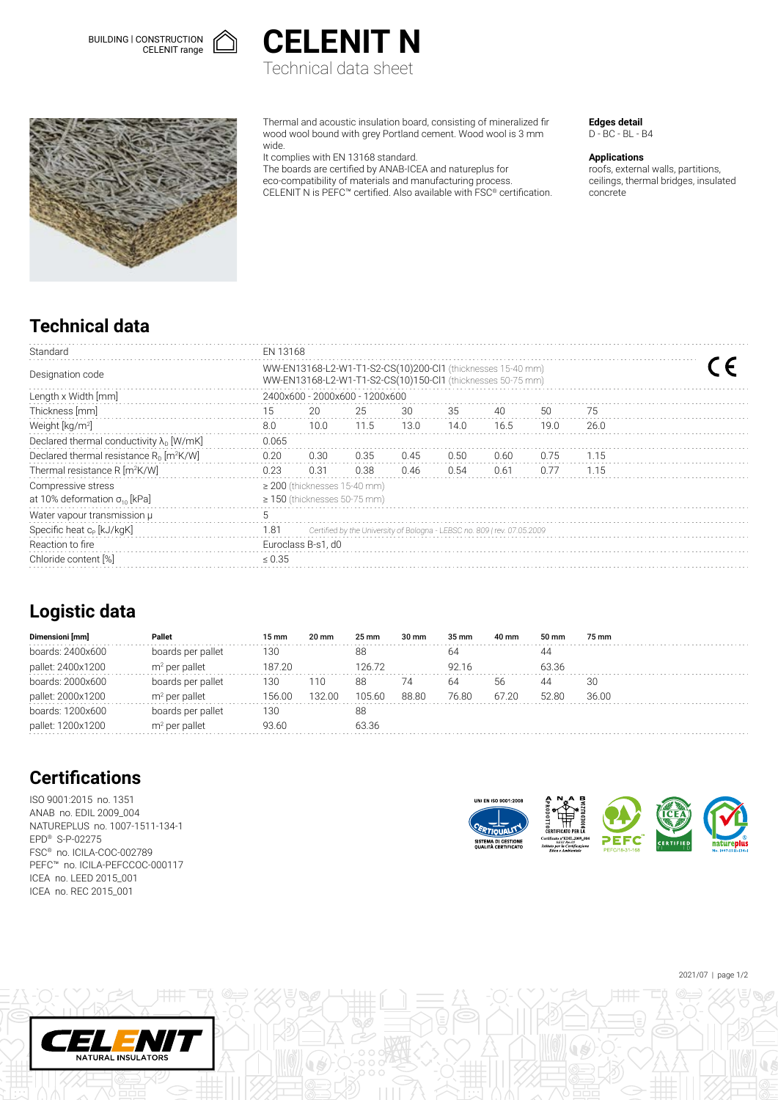



Technical data sheet



Thermal and acoustic insulation board, consisting of mineralized fir wood wool bound with grey Portland cement. Wood wool is 3 mm wide.

It complies with EN 13168 standard.

The boards are certified by ANAB-ICEA and natureplus for eco-compatibility of materials and manufacturing process. CELENIT N is PEFC™ certified. Also available with FSC® certification. **Edges detail** D - BC - BL - B4

#### **Applications**

roofs, external walls, partitions, ceilings, thermal bridges, insulated concrete

# **Technical data**

| Standard                                                     | <b>FN 13168</b>                                                                                                            |      |      |      |      |      |      |      |  |  |
|--------------------------------------------------------------|----------------------------------------------------------------------------------------------------------------------------|------|------|------|------|------|------|------|--|--|
| Designation code                                             | WW-EN13168-L2-W1-T1-S2-CS(10)200-Cl1 (thicknesses 15-40 mm)<br>WW-EN13168-L2-W1-T1-S2-CS(10)150-Cl1 (thicknesses 50-75 mm) |      |      |      |      |      |      |      |  |  |
| Length x Width [mm]                                          | 2400x600 - 2000x600 - 1200x600                                                                                             |      |      |      |      |      |      |      |  |  |
| Thickness [mm]                                               | 15                                                                                                                         | 20   | 25   | 30   | 35   | 40   | 50   | 75   |  |  |
| Weight [kg/m <sup>2]</sup>                                   | 8.0                                                                                                                        | 10.0 | 11.5 | 13.0 | 14.0 | 16.5 | 19.0 | 26.0 |  |  |
| Declared thermal conductivity $\lambda_{0}$ [W/mK]           | 0.065                                                                                                                      |      |      |      |      |      |      |      |  |  |
| Declared thermal resistance $R_0$ [m <sup>2</sup> K/W]       | 0.20                                                                                                                       | 0.30 | 0.35 | 0.45 | 0.50 | 0.60 | 0.75 | 1.15 |  |  |
| Thermal resistance R [m <sup>2</sup> K/W]                    | 0.23                                                                                                                       | 0.31 | 0.38 | 0.46 | 0.54 | 0.61 | 0.77 | 1.15 |  |  |
| Compressive stress<br>at 10% deformation $\sigma_{10}$ [kPa] | $\geq$ 200 (thicknesses 15-40 mm)<br>$\geq$ 150 (thicknesses 50-75 mm)                                                     |      |      |      |      |      |      |      |  |  |
| Water vapour transmission µ                                  | 5                                                                                                                          |      |      |      |      |      |      |      |  |  |
| Specific heat c <sub>p</sub> [kJ/kgK]                        | 1.81<br>Certified by the University of Bologna - LEBSC no. 809   rev. 07.05.2009                                           |      |      |      |      |      |      |      |  |  |
| Reaction to fire                                             | Euroclass B-s1, d0                                                                                                         |      |      |      |      |      |      |      |  |  |
| Chloride content [%]                                         | $\leq 0.35$                                                                                                                |      |      |      |      |      |      |      |  |  |

### **Logistic data**

| Dimensioni [mm]   | Pallet            | 15 mm  | $20 \text{ mm}$ | $25 \text{ mm}$ | 30 mm | 35 mm | 40 mm | 50 mm | 75 mm |
|-------------------|-------------------|--------|-----------------|-----------------|-------|-------|-------|-------|-------|
| boards: 2400x600  | boards per pallet | 130    |                 | 88              |       | 64    |       | 44    |       |
| pallet: 2400x1200 | $m2$ per pallet   | 187 20 |                 | 126 72          |       | 92 16 |       | 63.36 |       |
| boards: 2000x600  | boards per pallet | 130    | 110             | 88              | 74    | 64    | 56    |       | 30    |
| pallet: 2000x1200 | $m2$ per pallet   | 156.00 | 132.00          | 105.60          | 88.80 | 76.80 | 67.20 | 5280  | 36.00 |
| boards: 1200x600  | boards per pallet | 130    |                 | 88              |       |       |       |       |       |
| pallet: 1200x1200 | $m2$ per pallet   | 93.60  |                 | 63.36           |       |       |       |       |       |

# **Certifications**

ISO 9001:2015 no. 1351 ANAB no. EDIL 2009\_004 NATUREPLUS no. 1007-1511-134-1 EPD® S-P-02275 FSC® no. ICILA-COC-002789 PEFC™ no. ICILA-PEFCCOC-000117 ICEA no. LEED 2015\_001 ICEA no. REC 2015\_001

NATURAL INSULATORS



2021/07 | page 1/2